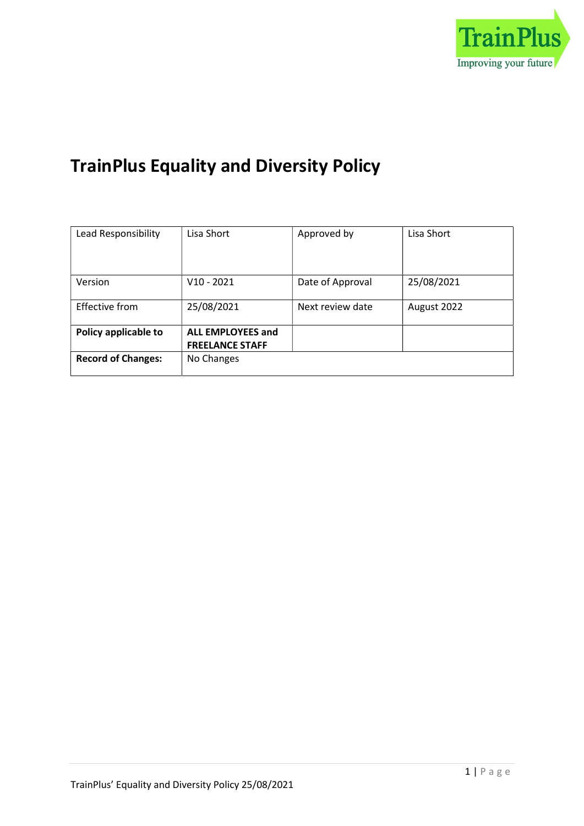

# TrainPlus Equality and Diversity Policy

| Lead Responsibility       | Lisa Short               | Approved by      | Lisa Short  |
|---------------------------|--------------------------|------------------|-------------|
|                           |                          |                  |             |
|                           |                          |                  |             |
| Version                   | V <sub>10</sub> - 2021   | Date of Approval | 25/08/2021  |
|                           |                          |                  |             |
| Effective from            | 25/08/2021               | Next review date | August 2022 |
|                           |                          |                  |             |
| Policy applicable to      | <b>ALL EMPLOYEES and</b> |                  |             |
|                           | <b>FREELANCE STAFF</b>   |                  |             |
| <b>Record of Changes:</b> | No Changes               |                  |             |
|                           |                          |                  |             |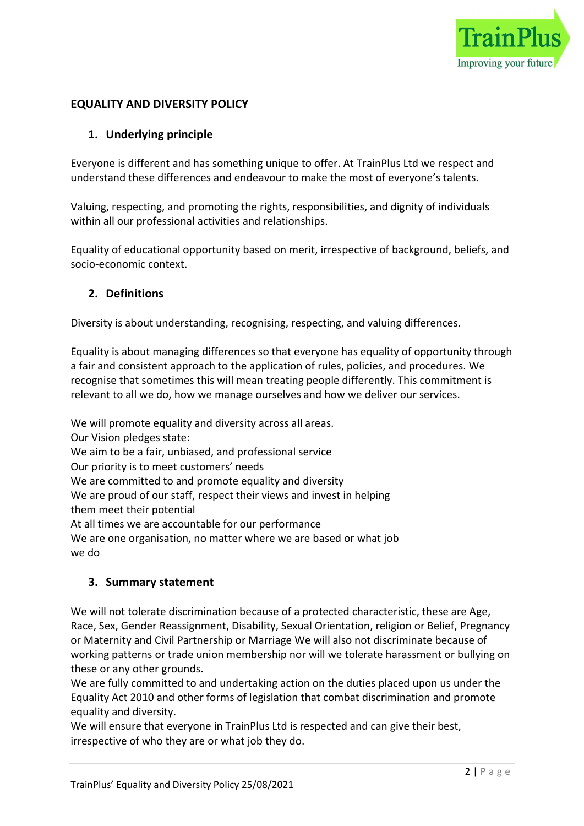

# EQUALITY AND DIVERSITY POLICY

## 1. Underlying principle

Everyone is different and has something unique to offer. At TrainPlus Ltd we respect and understand these differences and endeavour to make the most of everyone's talents.

Valuing, respecting, and promoting the rights, responsibilities, and dignity of individuals within all our professional activities and relationships.

Equality of educational opportunity based on merit, irrespective of background, beliefs, and socio-economic context.

#### 2. Definitions

Diversity is about understanding, recognising, respecting, and valuing differences.

Equality is about managing differences so that everyone has equality of opportunity through a fair and consistent approach to the application of rules, policies, and procedures. We recognise that sometimes this will mean treating people differently. This commitment is relevant to all we do, how we manage ourselves and how we deliver our services.

We will promote equality and diversity across all areas. Our Vision pledges state: We aim to be a fair, unbiased, and professional service Our priority is to meet customers' needs We are committed to and promote equality and diversity We are proud of our staff, respect their views and invest in helping them meet their potential At all times we are accountable for our performance We are one organisation, no matter where we are based or what job we do

#### 3. Summary statement

We will not tolerate discrimination because of a protected characteristic, these are Age, Race, Sex, Gender Reassignment, Disability, Sexual Orientation, religion or Belief, Pregnancy or Maternity and Civil Partnership or Marriage We will also not discriminate because of working patterns or trade union membership nor will we tolerate harassment or bullying on these or any other grounds.

We are fully committed to and undertaking action on the duties placed upon us under the Equality Act 2010 and other forms of legislation that combat discrimination and promote equality and diversity.

We will ensure that everyone in TrainPlus Ltd is respected and can give their best, irrespective of who they are or what job they do.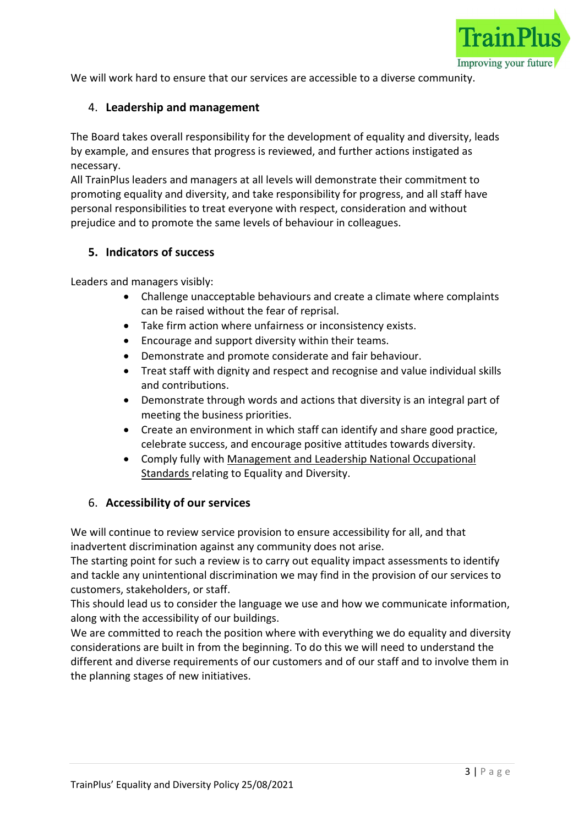

We will work hard to ensure that our services are accessible to a diverse community.

## 4. Leadership and management

The Board takes overall responsibility for the development of equality and diversity, leads by example, and ensures that progress is reviewed, and further actions instigated as necessary.

All TrainPlus leaders and managers at all levels will demonstrate their commitment to promoting equality and diversity, and take responsibility for progress, and all staff have personal responsibilities to treat everyone with respect, consideration and without prejudice and to promote the same levels of behaviour in colleagues.

## 5. Indicators of success

Leaders and managers visibly:

- Challenge unacceptable behaviours and create a climate where complaints can be raised without the fear of reprisal.
- Take firm action where unfairness or inconsistency exists.
- Encourage and support diversity within their teams.
- Demonstrate and promote considerate and fair behaviour.
- Treat staff with dignity and respect and recognise and value individual skills and contributions.
- Demonstrate through words and actions that diversity is an integral part of meeting the business priorities.
- Create an environment in which staff can identify and share good practice, celebrate success, and encourage positive attitudes towards diversity.
- Comply fully with Management and Leadership National Occupational Standards relating to Equality and Diversity.

#### 6. Accessibility of our services

We will continue to review service provision to ensure accessibility for all, and that inadvertent discrimination against any community does not arise.

The starting point for such a review is to carry out equality impact assessments to identify and tackle any unintentional discrimination we may find in the provision of our services to customers, stakeholders, or staff.

This should lead us to consider the language we use and how we communicate information, along with the accessibility of our buildings.

We are committed to reach the position where with everything we do equality and diversity considerations are built in from the beginning. To do this we will need to understand the different and diverse requirements of our customers and of our staff and to involve them in the planning stages of new initiatives.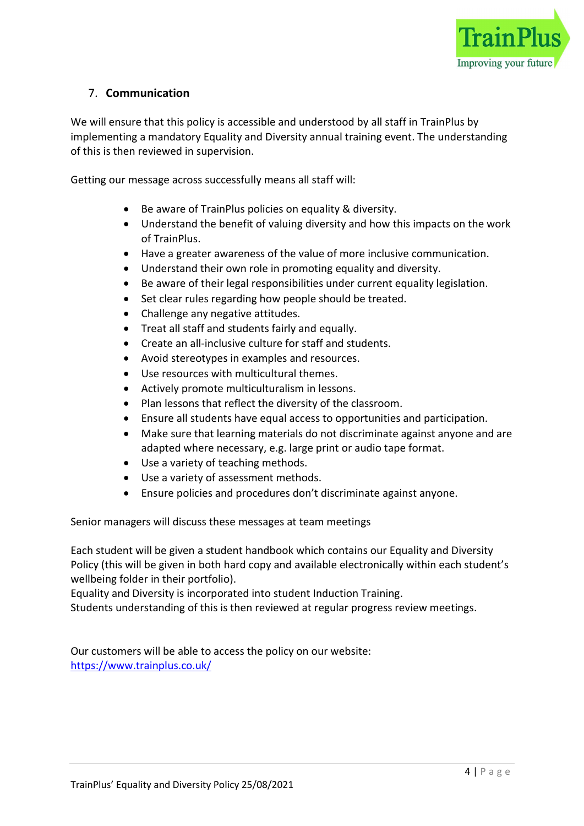

# 7. Communication

We will ensure that this policy is accessible and understood by all staff in TrainPlus by implementing a mandatory Equality and Diversity annual training event. The understanding of this is then reviewed in supervision.

Getting our message across successfully means all staff will:

- Be aware of TrainPlus policies on equality & diversity.
- Understand the benefit of valuing diversity and how this impacts on the work of TrainPlus.
- Have a greater awareness of the value of more inclusive communication.
- Understand their own role in promoting equality and diversity.
- Be aware of their legal responsibilities under current equality legislation.
- Set clear rules regarding how people should be treated.
- Challenge any negative attitudes.
- Treat all staff and students fairly and equally.
- Create an all-inclusive culture for staff and students.
- Avoid stereotypes in examples and resources.
- Use resources with multicultural themes.
- Actively promote multiculturalism in lessons.
- Plan lessons that reflect the diversity of the classroom.
- Ensure all students have equal access to opportunities and participation.
- Make sure that learning materials do not discriminate against anyone and are adapted where necessary, e.g. large print or audio tape format.
- Use a variety of teaching methods.
- Use a variety of assessment methods.
- Ensure policies and procedures don't discriminate against anyone.

Senior managers will discuss these messages at team meetings

Each student will be given a student handbook which contains our Equality and Diversity Policy (this will be given in both hard copy and available electronically within each student's wellbeing folder in their portfolio).

Equality and Diversity is incorporated into student Induction Training.

Students understanding of this is then reviewed at regular progress review meetings.

Our customers will be able to access the policy on our website: https://www.trainplus.co.uk/